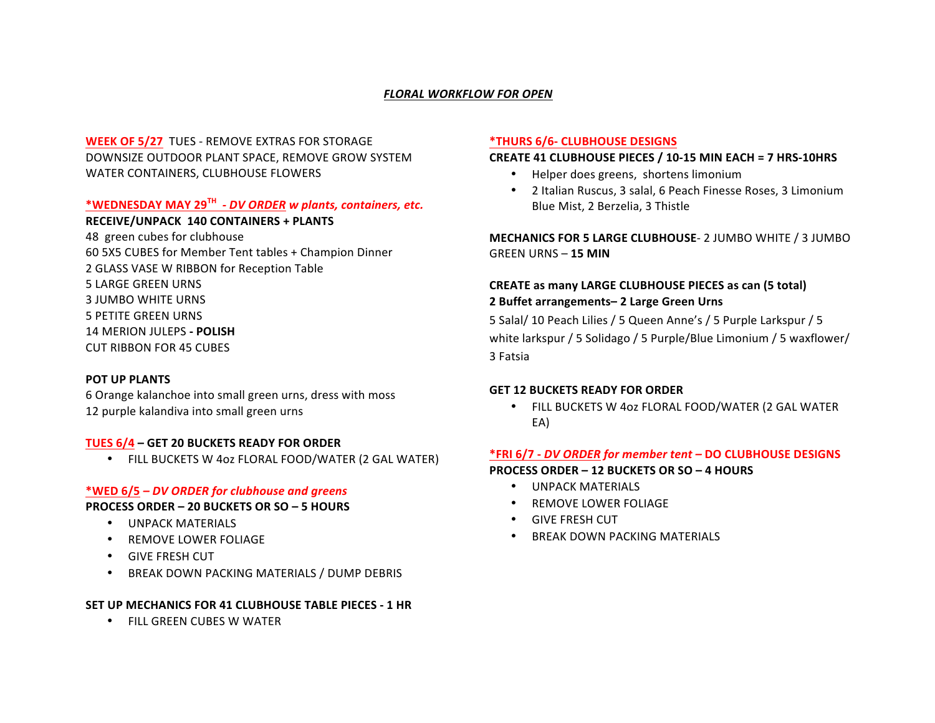# *FLORAL WORKFLOW FOR OPEN*

# **WEEK OF 5/27 TUES - REMOVE EXTRAS FOR STORAGE** DOWNSIZE OUTDOOR PLANT SPACE, REMOVE GROW SYSTEM WATER CONTAINERS, CLUBHOUSE FLOWERS

# **\*WEDNESDAY MAY 29TH** *- DV ORDER w plants, containers, etc.*

**RECEIVE/UNPACK 140 CONTAINERS + PLANTS**  48 green cubes for clubhouse 60 5X5 CUBES for Member Tent tables + Champion Dinner 2 GLASS VASE W RIBBON for Reception Table **5 LARGE GREEN URNS 3 JUMBO WHITE URNS 5 PETITE GREEN URNS** 14 MERION JULEPS **- POLISH** CUT RIBBON FOR 45 CUBES

### **POT UP PLANTS**

6 Orange kalanchoe into small green urns, dress with moss 12 purple kalandiva into small green urns

## **TUES 6/4 – GET 20 BUCKETS READY FOR ORDER**

• FILL BUCKETS W 4oz FLORAL FOOD/WATER (2 GAL WATER)

## **\*WED 6/5** *– DV ORDER for clubhouse and greens*

## **PROCESS ORDER – 20 BUCKETS OR SO – 5 HOURS**

- UNPACK MATERIALS
- REMOVE LOWER FOLIAGE
- GIVE FRESH CUT
- BREAK DOWN PACKING MATERIALS / DUMP DEBRIS

## **SET UP MECHANICS FOR 41 CLUBHOUSE TABLE PIECES - 1 HR**

• FILL GREEN CUBES W WATER

### **\*THURS 6/6- CLUBHOUSE DESIGNS**

### **CREATE 41 CLUBHOUSE PIECES / 10-15 MIN EACH = 7 HRS-10HRS**

- Helper does greens, shortens limonium
- 2 Italian Ruscus, 3 salal, 6 Peach Finesse Roses, 3 Limonium Blue Mist, 2 Berzelia, 3 Thistle

**MECHANICS FOR 5 LARGE CLUBHOUSE- 2 JUMBO WHITE / 3 JUMBO** GREEN URNS – **15 MIN**

# **CREATE** as many LARGE CLUBHOUSE PIECES as can (5 total) **2 Buffet arrangements– 2 Large Green Urns**

5 Salal/ 10 Peach Lilies / 5 Queen Anne's / 5 Purple Larkspur / 5 white larkspur / 5 Solidago / 5 Purple/Blue Limonium / 5 waxflower/ 3 Fatsia

## **GET 12 BUCKETS READY FOR ORDER**

• FILL BUCKETS W 4oz FLORAL FOOD/WATER (2 GAL WATER EA)

# **\*FRI 6/7 -** *DV ORDER for member tent –* **DO CLUBHOUSE DESIGNS PROCESS ORDER – 12 BUCKETS OR SO – 4 HOURS**

- UNPACK MATERIALS
- REMOVE LOWER FOLIAGE
- GIVE FRESH CUT
- BREAK DOWN PACKING MATERIALS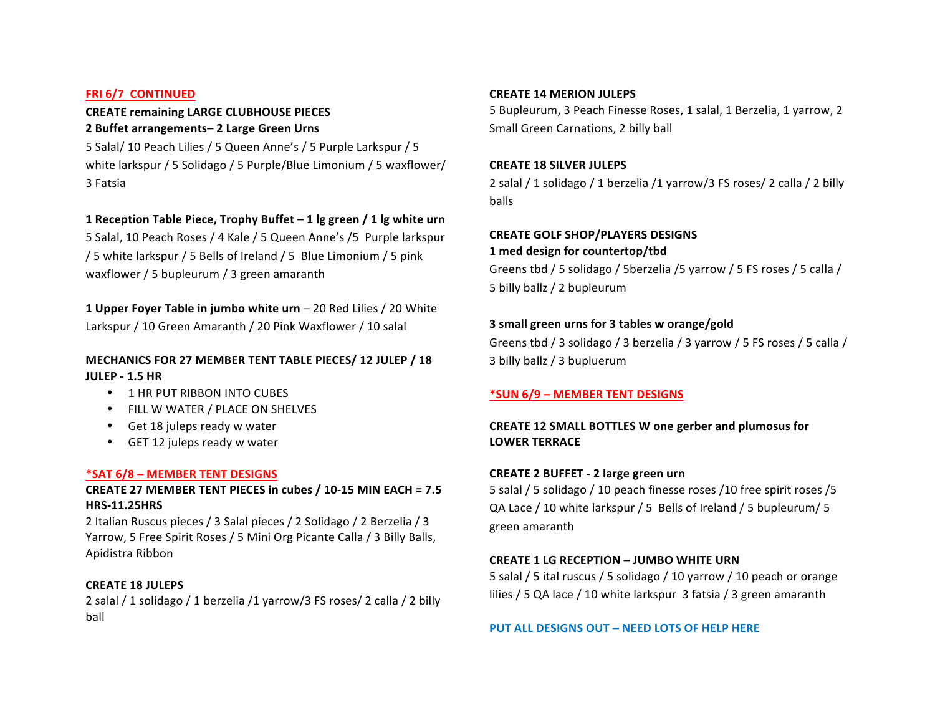## **FRI 6/7 CONTINUED**

# **CREATE remaining LARGE CLUBHOUSE PIECES 2 Buffet arrangements– 2 Large Green Urns**

5 Salal/ 10 Peach Lilies / 5 Queen Anne's / 5 Purple Larkspur / 5 white larkspur / 5 Solidago / 5 Purple/Blue Limonium / 5 waxflower/ 3 Fatsia

## **1** Reception Table Piece, Trophy Buffet – 1 lg green / 1 lg white urn

5 Salal, 10 Peach Roses / 4 Kale / 5 Queen Anne's / 5 Purple larkspur / 5 white larkspur / 5 Bells of Ireland / 5 Blue Limonium / 5 pink waxflower / 5 bupleurum / 3 green amaranth

**1 Upper Foyer Table in jumbo white urn** – 20 Red Lilies / 20 White Larkspur / 10 Green Amaranth / 20 Pink Waxflower / 10 salal

# **MECHANICS FOR 27 MEMBER TENT TABLE PIECES/ 12 JULEP / 18 JULEP - 1.5 HR**

- 1 HR PUT RIBBON INTO CUBES
- FILL W WATER / PLACE ON SHELVES
- Get 18 juleps ready w water
- GET 12 juleps ready w water

#### **\*SAT 6/8** *–* **MEMBER TENT DESIGNS**

# **CREATE 27 MEMBER TENT PIECES in cubes / 10-15 MIN EACH = 7.5 HRS-11.25HRS**

2 Italian Ruscus pieces / 3 Salal pieces / 2 Solidago / 2 Berzelia / 3 Yarrow, 5 Free Spirit Roses / 5 Mini Org Picante Calla / 3 Billy Balls, Apidistra Ribbon

#### **CREATE 18 JULEPS**

2 salal / 1 solidago / 1 berzelia /1 yarrow/3 FS roses/ 2 calla / 2 billy ball

#### **CREATE 14 MERION JULEPS**

5 Bupleurum, 3 Peach Finesse Roses, 1 salal, 1 Berzelia, 1 yarrow, 2 Small Green Carnations, 2 billy ball

#### **CREATE 18 SILVER JULEPS**

2 salal / 1 solidago / 1 berzelia /1 yarrow/3 FS roses/ 2 calla / 2 billy balls

# **CREATE GOLF SHOP/PLAYERS DESIGNS 1** med design for countertop/tbd

Greens tbd / 5 solidago / 5berzelia /5 yarrow / 5 FS roses / 5 calla / 5 billy ballz / 2 bupleurum

#### **3** small green urns for 3 tables w orange/gold

Greens tbd / 3 solidago / 3 berzelia / 3 yarrow / 5 FS roses / 5 calla / 3 billy ballz / 3 bupluerum

## **\*SUN 6/9** *–* **MEMBER TENT DESIGNS**

# **CREATE 12 SMALL BOTTLES W one gerber and plumosus for LOWER TERRACE**

#### **CREATE 2 BUFFET - 2 large green urn**

5 salal / 5 solidago / 10 peach finesse roses /10 free spirit roses /5 QA Lace / 10 white larkspur / 5 Bells of Ireland / 5 bupleurum/ 5 green amaranth

## **CREATE 1 LG RECEPTION - JUMBO WHITE URN**

5 salal / 5 ital ruscus / 5 solidago / 10 yarrow / 10 peach or orange lilies / 5 QA lace / 10 white larkspur 3 fatsia / 3 green amaranth

**PUT ALL DESIGNS OUT – NEED LOTS OF HELP HERE**